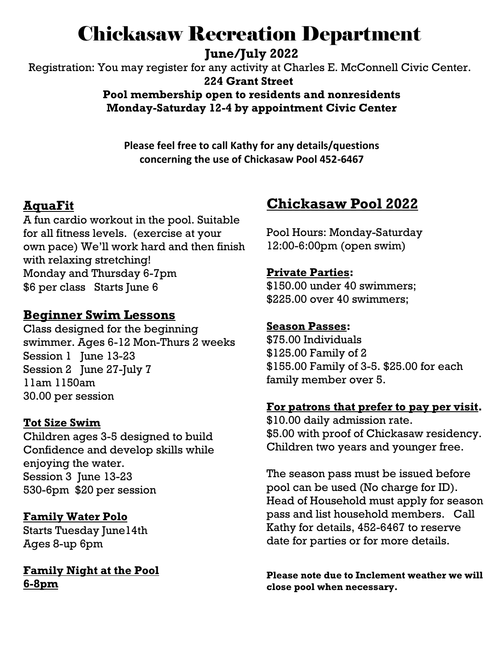# Chickasaw Recreation Department

**June/July 2022**

 Registration: You may register for any activity at Charles E. McConnell Civic Center.  **224 Grant Street**

### **Pool membership open to residents and nonresidents Monday-Saturday 12-4 by appointment Civic Center**

**Please feel free to call Kathy for any details/questions concerning the use of Chickasaw Pool 452-6467**

# **AquaFit**

A fun cardio workout in the pool. Suitable for all fitness levels. (exercise at your own pace) We'll work hard and then finish with relaxing stretching! Monday and Thursday 6-7pm \$6 per class Starts June 6

# **Beginner Swim Lessons**

Class designed for the beginning swimmer. Ages 6-12 Mon-Thurs 2 weeks Session 1 June 13-23 Session 2 June 27-July 7 11am 1150am 30.00 per session

#### **Tot Size Swim**

Children ages 3-5 designed to build Confidence and develop skills while enjoying the water. Session 3 June 13-23 530-6pm \$20 per session

#### **Family Water Polo**

Starts Tuesday June14th Ages 8-up 6pm

**Family Night at the Pool 6-8pm**

# **Chickasaw Pool 2022**

Pool Hours: Monday-Saturday 12:00-6:00pm (open swim)

#### **Private Parties:**

\$150.00 under 40 swimmers; \$225.00 over 40 swimmers;

#### **Season Passes:**

\$75.00 Individuals \$125.00 Family of 2 \$155.00 Family of 3-5. \$25.00 for each family member over 5.

# **For patrons that prefer to pay per visit.**

\$10.00 daily admission rate. \$5.00 with proof of Chickasaw residency. Children two years and younger free.

The season pass must be issued before pool can be used (No charge for ID). Head of Household must apply for season pass and list household members. Call Kathy for details, 452-6467 to reserve date for parties or for more details.

**Please note due to Inclement weather we will close pool when necessary.**